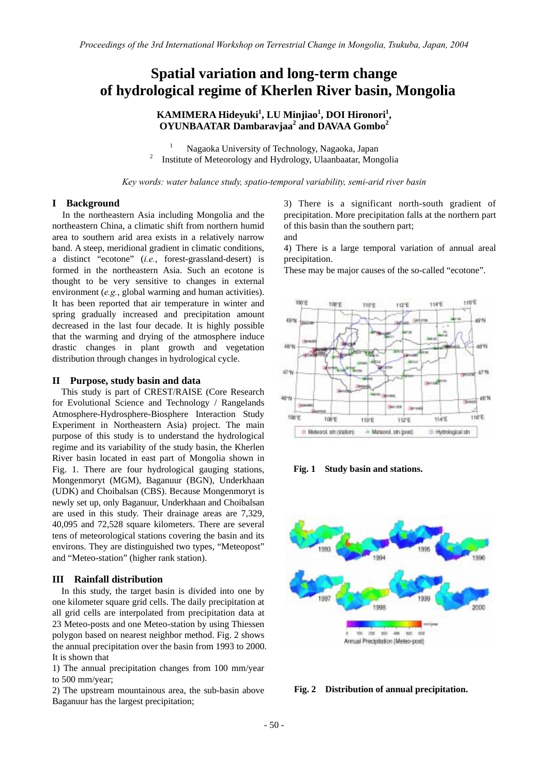# **Spatial variation and long-term change of hydrological regime of Kherlen River basin, Mongolia**

# **KAMIMERA Hideyuki1 , LU Minjiao<sup>1</sup> , DOI Hironori<sup>1</sup> , OYUNBAATAR Dambaravjaa<sup>2</sup> and DAVAA Gombo<sup>2</sup>**

1 <sup>1</sup> Nagaoka University of Technology, Nagaoka, Japan <sup>2</sup> Institute of Meteorology and Hydrology, Hloenbester, Man Institute of Meteorology and Hydrology, Ulaanbaatar, Mongolia

*Key words: water balance study, spatio-temporal variability, semi-arid river basin* 

#### **I Background**

In the northeastern Asia including Mongolia and the northeastern China, a climatic shift from northern humid area to southern arid area exists in a relatively narrow band. A steep, meridional gradient in climatic conditions, a distinct "ecotone" (*i.e.*, forest-grassland-desert) is formed in the northeastern Asia. Such an ecotone is thought to be very sensitive to changes in external environment (*e.g.*, global warming and human activities). It has been reported that air temperature in winter and spring gradually increased and precipitation amount decreased in the last four decade. It is highly possible that the warming and drying of the atmosphere induce drastic changes in plant growth and vegetation distribution through changes in hydrological cycle.

#### **II Purpose, study basin and data**

 This study is part of CREST/RAISE (Core Research for Evolutional Science and Technology / Rangelands Atmosphere-Hydrosphere-Biosphere Interaction Study Experiment in Northeastern Asia) project. The main purpose of this study is to understand the hydrological regime and its variability of the study basin, the Kherlen River basin located in east part of Mongolia shown in Fig. 1. There are four hydrological gauging stations, Mongenmoryt (MGM), Baganuur (BGN), Underkhaan (UDK) and Choibalsan (CBS). Because Mongenmoryt is newly set up, only Baganuur, Underkhaan and Choibalsan are used in this study. Their drainage areas are 7,329, 40,095 and 72,528 square kilometers. There are several tens of meteorological stations covering the basin and its environs. They are distinguished two types, "Meteopost" and "Meteo-station" (higher rank station).

#### **III Rainfall distribution**

 In this study, the target basin is divided into one by one kilometer square grid cells. The daily precipitation at all grid cells are interpolated from precipitation data at 23 Meteo-posts and one Meteo-station by using Thiessen polygon based on nearest neighbor method. Fig. 2 shows the annual precipitation over the basin from 1993 to 2000. It is shown that

1) The annual precipitation changes from 100 mm/year to 500 mm/year;

2) The upstream mountainous area, the sub-basin above Baganuur has the largest precipitation;

3) There is a significant north-south gradient of precipitation. More precipitation falls at the northern part of this basin than the southern part; and

4) There is a large temporal variation of annual areal precipitation.

These may be major causes of the so-called "ecotone".



**Fig. 1 Study basin and stations.** 



**Fig. 2 Distribution of annual precipitation.**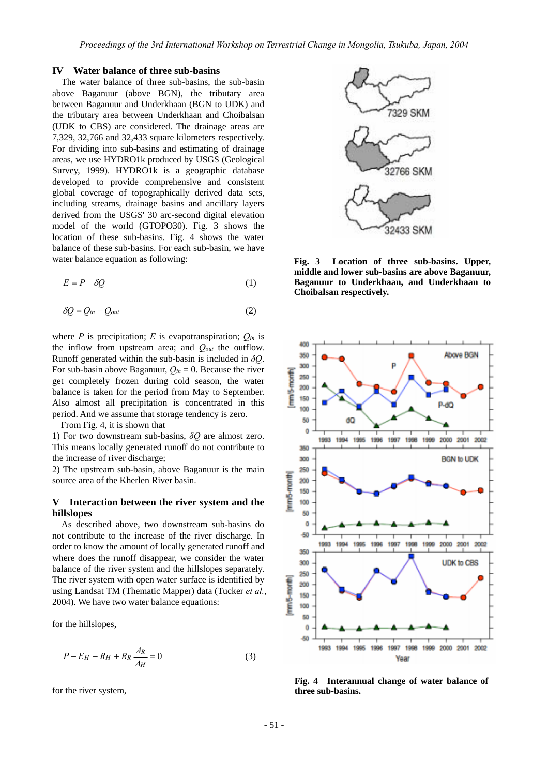#### **IV Water balance of three sub-basins**

The water balance of three sub-basins, the sub-basin above Baganuur (above BGN), the tributary area between Baganuur and Underkhaan (BGN to UDK) and the tributary area between Underkhaan and Choibalsan (UDK to CBS) are considered. The drainage areas are 7,329, 32,766 and 32,433 square kilometers respectively. For dividing into sub-basins and estimating of drainage areas, we use HYDRO1k produced by USGS (Geological Survey, 1999). HYDRO1k is a geographic database developed to provide comprehensive and consistent global coverage of topographically derived data sets, including streams, drainage basins and ancillary layers derived from the USGS' 30 arc-second digital elevation model of the world (GTOPO30). Fig. 3 shows the location of these sub-basins. Fig. 4 shows the water balance of these sub-basins. For each sub-basin, we have water balance equation as following:

$$
E = P - \delta Q \tag{1}
$$

$$
\delta Q = Q_{in} - Q_{out} \tag{2}
$$

where  $P$  is precipitation;  $E$  is evapotranspiration;  $Q_{in}$  is the inflow from upstream area; and *Qout* the outflow. Runoff generated within the sub-basin is included in *δQ*. For sub-basin above Baganuur,  $Q_{in} = 0$ . Because the river get completely frozen during cold season, the water balance is taken for the period from May to September. Also almost all precipitation is concentrated in this period. And we assume that storage tendency is zero.

From Fig. 4, it is shown that

1) For two downstream sub-basins, *δQ* are almost zero. This means locally generated runoff do not contribute to the increase of river discharge;

2) The upstream sub-basin, above Baganuur is the main source area of the Kherlen River basin.

# **V Interaction between the river system and the hillslopes**

 As described above, two downstream sub-basins do not contribute to the increase of the river discharge. In order to know the amount of locally generated runoff and where does the runoff disappear, we consider the water balance of the river system and the hillslopes separately. The river system with open water surface is identified by using Landsat TM (Thematic Mapper) data (Tucker *et al.*, 2004). We have two water balance equations:

for the hillslopes,

$$
P - E_H - R_H + R_R \frac{A_R}{A_H} = 0 \tag{3}
$$

for the river system,



**Fig. 3 Location of three sub-basins. Upper, middle and lower sub-basins are above Baganuur, Baganuur to Underkhaan, and Underkhaan to Choibalsan respectively.** 



**Fig. 4 Interannual change of water balance of three sub-basins.**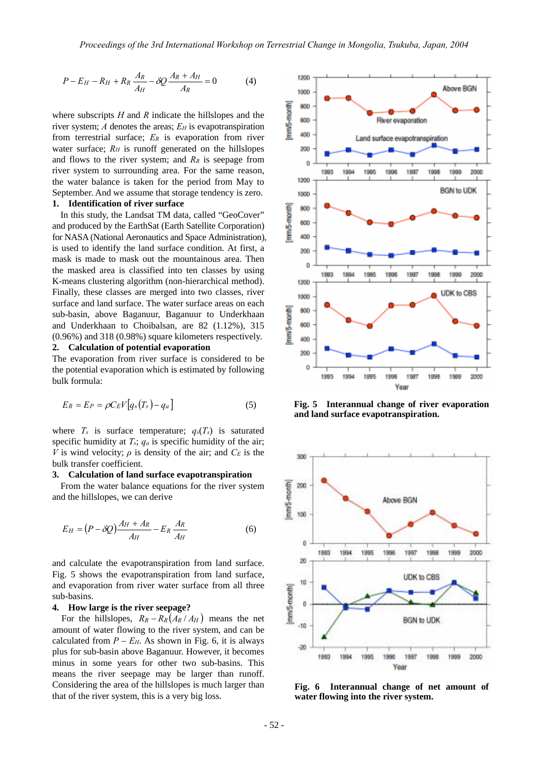$$
P - E_H - R_H + R_R \frac{A_R}{A_H} - \delta Q \frac{A_R + A_H}{A_R} = 0 \tag{4}
$$

where subscripts *H* and *R* indicate the hillslopes and the river system; *A* denotes the areas; *E<sub>H</sub>* is evapotranspiration from terrestrial surface; *ER* is evaporation from river water surface;  $R_H$  is runoff generated on the hillslopes and flows to the river system; and  $R_R$  is seepage from river system to surrounding area. For the same reason, the water balance is taken for the period from May to September. And we assume that storage tendency is zero.

**1. Identification of river surface** 

In this study, the Landsat TM data, called "GeoCover" and produced by the EarthSat (Earth Satellite Corporation) for NASA (National Aeronautics and Space Administration), is used to identify the land surface condition. At first, a mask is made to mask out the mountainous area. Then the masked area is classified into ten classes by using K-means clustering algorithm (non-hierarchical method). Finally, these classes are merged into two classes, river surface and land surface. The water surface areas on each sub-basin, above Baganuur, Baganuur to Underkhaan and Underkhaan to Choibalsan, are 82 (1.12%), 315 (0.96%) and 318 (0.98%) square kilometers respectively.

#### **2. Calculation of potential evaporation**

The evaporation from river surface is considered to be the potential evaporation which is estimated by following bulk formula:

$$
E_R = E_P = \rho C_E V \big[ q_s \big( T_s \big) - q_a \big] \tag{5}
$$

where  $T_s$  is surface temperature;  $q_s(T_s)$  is saturated specific humidity at *Ts*; *qa* is specific humidity of the air; *V* is wind velocity;  $\rho$  is density of the air; and  $C_E$  is the bulk transfer coefficient.

#### **3. Calculation of land surface evapotranspiration**

From the water balance equations for the river system and the hillslopes, we can derive

$$
E_H = (P - \delta Q) \frac{A_H + A_R}{A_H} - E_R \frac{A_R}{A_H}
$$
(6)

and calculate the evapotranspiration from land surface. Fig. 5 shows the evapotranspiration from land surface, and evaporation from river water surface from all three sub-basins.

#### **4. How large is the river seepage?**

For the hillslopes,  $R_R - R_R(A_R/A_H)$  means the net amount of water flowing to the river system, and can be calculated from  $P - E_H$ . As shown in Fig. 6, it is always plus for sub-basin above Baganuur. However, it becomes minus in some years for other two sub-basins. This means the river seepage may be larger than runoff. Considering the area of the hillslopes is much larger than that of the river system, this is a very big loss.



**Fig. 5 Interannual change of river evaporation and land surface evapotranspiration.** 



**Fig. 6 Interannual change of net amount of water flowing into the river system.**